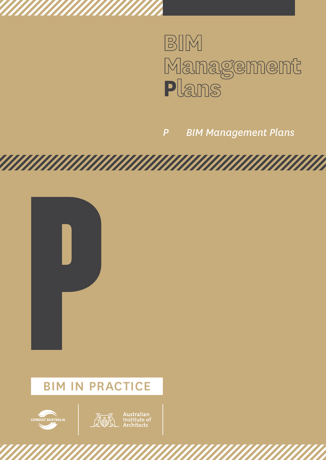

*P BIM Management Plans*

**TATAN MANAHAN MAN** 





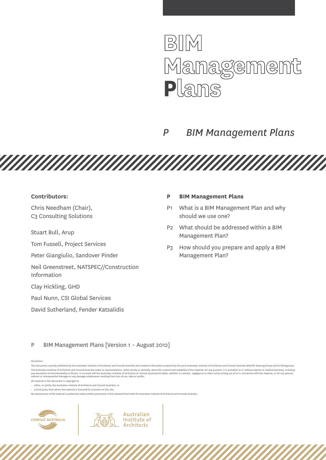

## *P BIM Management Plans*

**Contributors:** 

Chris Needham (Chair), C3 Consulting Solutions

Stuart Bull, Arup

Tom Fussell, Project Services

Peter Giangiulio, Sandover Pinder

Neil Greenstreet, NATSPEC//Construction Information

Clay Hickling, GHD

Paul Nunn, CSI Global Services

David Sutherland, Fender Katsalidis

## **P BIM Management Plans**

- P1 What is a BIM Management Plan and why should we use one?
- P2 What should be addressed within a BIM Management Plan?
- P3 How should you prepare and apply a BIM Management Plan?

P BIM Management Plans [Version 1 – August 2012]

#### Disclaimer:

<u>TAN MANAMAN MANAMAN MANAMAN M</u>

 $\cdot$  a third party, from whom the material is licensed for inclusion on this site.

Australian

Institute of **Architects** 



This document is jointly published by the Australian Institute of Architects and Consult Australia and contains information prepared by the joint Australian Institute of Architects and Consult Australia BIM/IPD Steering Gr The Australian Institute of Architects and Consult Australia make no representations, either iointly or severally, about the content and suitability of the material, for any purpose, It is provided 'as is' without express any warranties of merchantability or fitness. In no event will the Australian Institute of Architects or Consult Australia be liable, whether in contract, negligence or other action arising out of or in connection with the All material in this document is copyright to:

<sup>•</sup> either, or jointly, the Australian Institute of Architects and Consult Australia; or

No reproduction of the material is authorised unless written permission is first obtained from both the Australian Institute of Architects and Consult Australia.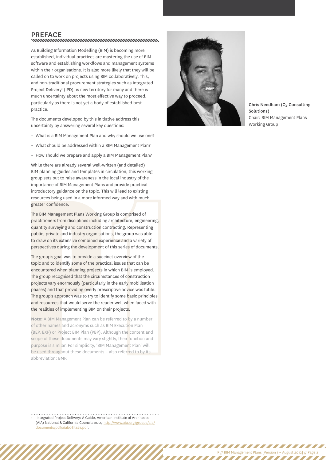## PREFACE<br>www.www.www.www.www.www.www.www.ww

As Building Information Modelling (BIM) is becoming more established, individual practices are mastering the use of BIM software and establishing workflows and management systems within their organisations. It is also more likely that they will be called on to work on projects using BIM collaboratively. This, and non-traditional procurement strategies such as Integrated Project Delivery<sup>1</sup> (IPD), is new territory for many and there is much uncertainty about the most effective way to proceed, particularly as there is not yet a body of established best practice.

The documents developed by this initiative address this uncertainty by answering several key questions:

- What is a BIM Management Plan and why should we use one?
- What should be addressed within a BIM Management Plan?
- How should we prepare and apply a BIM Management Plan?

While there are already several well-written (and detailed) BIM planning guides and templates in circulation, this working group sets out to raise awareness in the local industry of the importance of BIM Management Plans and provide practical introductory guidance on the topic. This will lead to existing resources being used in a more informed way and with much greater confidence.

The BIM Management Plans Working Group is comprised of practitioners from disciplines including architecture, engineering, quantity surveying and construction contracting. Representing public, private and industry organisations, the group was able to draw on its extensive combined experience and a variety of perspectives during the development of this series of documents.

greater confidence.<br>The BIM Management Plans Working G<br>practitioners from disciplines including<br>quantity surveying and construction co<br>public, private and industry organisati<br>to draw on its extensive combined exp<br>perspecti The group's goal was to provide a succinct overview of the topic and to identify some of the practical issues that can be encountered when planning projects in which BIM is employed. The group recognised that the circumstances of construction projects vary enormously (particularly in the early mobilisation phases) and that providing overly prescriptive advice was futile. The group's approach was to try to identify some basic principles and resources that would serve the reader well when faced with the realities of implementing BIM on their projects.

**Note:** A BIM Management Plan can be referred to by a number of other names and acronyms such as BIM Execution Plan (BEP, BXP) or Project BIM Plan (PBP). Although the content and scope of these documents may vary slightly, their function and purpose is similar. For simplicity, 'BIM Management Plan' will be used throughout these documents – also referred to by its abbreviation: BMP.



Chris Needham (C3 Consulting Solutions) Chair: BIM Management Plans Working Group

P // BIM Management Plans [Version 1 – August 2012] // Page 3

,,,,,,,,,,,,,,,,,,,,,,,

,,,,,,,,,,,

1 Integrated Project Delivery: A Guide, American Institute of Architects (AIA) National & California Councils 2007 [http://www.aia.org/groups/aia/](http://www.aia.org/groups/aia/documents/pdf/aiab083423.pdf) [documents/pdf/aiab083423.pdf](http://www.aia.org/groups/aia/documents/pdf/aiab083423.pdf).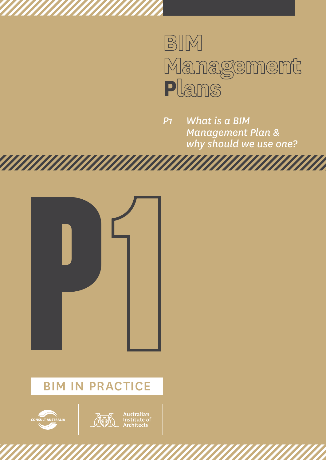# BIM Management<br>Plans

*P1 What is a BIM Management Plan & why should we use one?*





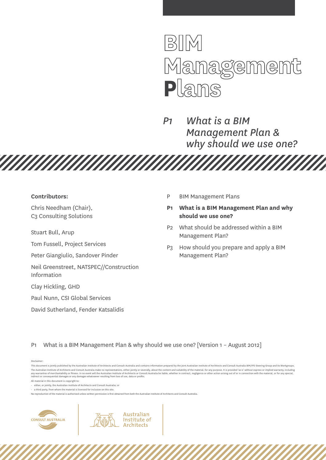

*P1 What is a BIM Management Plan & why should we use one?*

#### **Contributors:**

Chris Needham (Chair), C3 Consulting Solutions

Stuart Bull, Arup

Tom Fussell, Project Services

Peter Giangiulio, Sandover Pinder

Neil Greenstreet, NATSPEC//Construction Information

**TARTA MANARA DE LA PERSONA DE LA PROPIETA DEL** 

Clay Hickling, GHD

Paul Nunn, CSI Global Services

David Sutherland, Fender Katsalidis

- P BIM Management Plans
- **P1 What is a BIM Management Plan and why should we use one?**
- P2 What should be addressed within a BIM Management Plan?
- P3 How should you prepare and apply a BIM Management Plan?

P1 What is a BIM Management Plan & why should we use one? [Version 1 – August 2012]

Australian

Institute of **Architects** 

Disclaimer:

This document is jointly published by the Australian Institute of Architects and Consult Australia and contains information prepared by the joint Australian Institute of Architects and Consult Australia BIM/IPD Steering Gr The Australian Institute of Architects and Consult Australia make no representations, either iointly or severally, about the content and suitability of the material, for any purpose, It is provided 'as is' without express any warranties of merchantability or fitness. In no event will the Australian Institute of Architects or Consult Australia be liable, whether in contract, negligence or other action arising out of or in connection with the

All material in this document is copyright to:

• either, or jointly, the Australian Institute of Architects and Consult Australia; or

 $\cdot$  a third party, from whom the material is licensed for inclusion on this site.

No reproduction of the material is authorised unless written permission is first obtained from both the Australian Institute of Architects and Consult Australia.

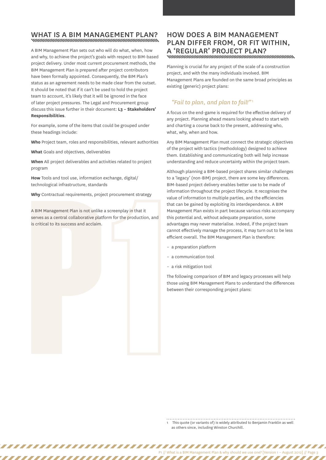## WHAT IS A BIM MANAGEMENT PLAN?

A BIM Management Plan sets out who will do what, when, how and why, to achieve the project's goals with respect to BIM-based project delivery. Under most current procurement methods, the BIM Management Plan is prepared after project contributors have been formally appointed. Consequently, the BIM Plan's status as an agreement needs to be made clear from the outset. It should be noted that if it can't be used to hold the project team to account, it's likely that it will be ignored in the face of later project pressures. The Legal and Procurement group discuss this issue further in their document: **L3 – Stakeholders' Responsibilities**.

For example, some of the items that could be grouped under these headings include:

**Who** Project team, roles and responsibilities, relevant authorities

**What** Goals and objectives, deliverables

,,,,,,,,,,,,,,,,

**When** All project deliverables and activities related to project program

**How** Tools and tool use, information exchange, digital/ technological infrastructure, standards

**Why** Contractual requirements, project procurement strategy

P A BIM Management Plan is not unlike a screenplay in that it serves as a central collaborative platform for the production, and is critical to its success and acclaim.

## How does a BIM Management Plan differ from, or fit within, a 'regular' project plan?

Planning is crucial for any project of the scale of a construction project, and with the many individuals involved. BIM Management Plans are founded on the same broad principles as existing (generic) project plans:

### *"Fail to plan, and plan to fail!"* <sup>1</sup>

A focus on the end-game is required for the effective delivery of any project. Planning ahead means looking ahead to start with and charting a course back to the present, addressing who, what, why, when and how.

Any BIM Management Plan must connect the strategic objectives of the project with tactics (methodology) designed to achieve them. Establishing and communicating both will help increase understanding and reduce uncertainty within the project team.

Although planning a BIM-based project shares similar challenges to a 'legacy' (non-BIM) project, there are some key differences. BIM-based project delivery enables better use to be made of information throughout the project lifecycle. It recognises the value of information to multiple parties, and the efficiencies that can be gained by exploiting its interdependence. A BIM Management Plan exists in part because various risks accompany this potential and, without adequate preparation, some advantages may never materialise. Indeed, if the project team cannot effectively manage the process, it may turn out to be less efficient overall. The BIM Management Plan is therefore:

- a preparation platform
- a communication tool
- a risk mitigation tool

The following comparison of BIM and legacy processes will help those using BIM Management Plans to understand the differences between their corresponding project plans:

1 This quote (or variants of) is widely attributed to Benjamin Franklin as well as others since, including Winston Churchill.

,,,,,,,,,,,,,,,,

P1 // What is a BIM Management Plan & why should we use one? [Version 1 – August 2012] // Page 3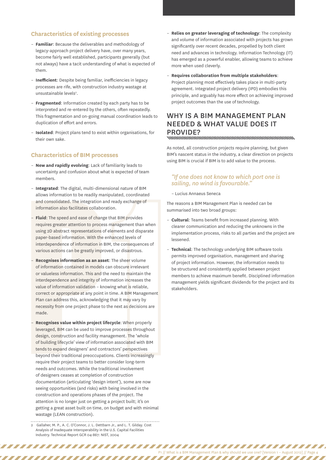#### **Characteristics of existing processes**

- **Familiar**: Because the deliverables and methodology of legacy-approach project delivery have, over many years, become fairly well established, participants generally (but not always) have a tacit understanding of what is expected of them.
- **Inefficient**: Despite being familiar, inefficiencies in legacy processes are rife, with construction industry wastage at unsustainable levels<sup>2</sup>.
- **Fragmented**: Information created by each party has to be interpreted and re-entered by the others, often repeatedly. This fragmentation and on-going manual coordination leads to duplication of effort and errors.
- **Isolated**: Project plans tend to exist within organisations, for their own sake.

## **Characteristics of BIM processes**

- **New and rapidly evolving**: Lack of familiarity leads to uncertainty and confusion about what is expected of team members.
- **Integrated**: The digital, multi-dimensional nature of BIM allows information to be readily manipulated, coordinated and consolidated. The integration and ready exchange of information also facilitates collaboration.
- **Fluid**: The speed and ease of change that BIM provides requires greater attention to process management than when using 2D abstract representations of elements and disparate paper-based information. With the enhanced levels of interdependence of information in BIM, the consequences of various actions can be greatly improved, or disastrous.
- **Recognises information as an asset**: The sheer volume of information contained in models can obscure irrelevant or valueless information. This and the need to maintain the interdependence and integrity of information increases the value of information validation – knowing what is reliable, correct or appropriate at any point in time. A BIM Management Plan can address this, acknowledging that it may vary by necessity from one project phase to the next as decisions are made.
- and consolidated. The integration as<br>information also facilitates collabor<br>- **Fluid**: The speed and ease of chang<br>requires greater attention to proces<br>using 2D abstract representations of<br>paper-based information. With the – **Recognises value within project lifecycle**: When properly leveraged, BIM can be used to improve processes throughout design, construction and facility management. The 'whole of building lifecycle' view of information associated with BIM tends to expand designers' and contractors' perspectives beyond their traditional preoccupations. Clients increasingly require their project teams to better consider long-term needs and outcomes. While the traditional involvement of designers ceases at completion of construction documentation (articulating 'design intent'), some are now seeing opportunities (and risks) with being involved in the construction and operations phases of the project. The attention is no longer just on getting a project built; it's on getting a great asset built on time, on budget and with minimal wastage (LEAN construction).
	- 2 Gallaher, M. P., A. C. O'Connor, J. L. Dettbarn Jr., and L. T. Gilday. Cost Analysis of Inadequate Interoperability in the U.S. Capital Facilities Industry. Technical Report GCR 04-867: NIST, 2004

,,,,,,,,,,,,,,,,

 $\overline{I}$  ,  $\overline{I}$  ,  $\overline{I}$  ,  $\overline{I}$ 

- **Relies on greater leveraging of technology**: The complexity and volume of information associated with projects has grown significantly over recent decades, propelled by both client need and advances in technology. Information Technology (IT) has emerged as a powerful enabler, allowing teams to achieve more when used cleverly.
- **Requires collaboration from multiple stakeholders**: Project planning most effectively takes place in multi-party agreement. Integrated project delivery (IPD) embodies this principle, and arguably has more effect on achieving improved project outcomes than the use of technology.

## Why is a BIM Management Plan needed & what value does it PROVIDE?<br>www.www.www.www.www.www.www.www.www.

As noted, all construction projects require planning, but given BIM's nascent status in the industry, a clear direction on projects using BIM is crucial if BIM is to add value to the process.

### *"If one does not know to which port one is sailing, no wind is favourable."*

– Lucius Annaeus Seneca

The reasons a BIM Management Plan is needed can be summarised into two broad groups:

- **Cultural**: Teams benefit from increased planning. With clearer communication and reducing the unknowns in the implementation process, risks to all parties and the project are lessened.
- **Technical**: The technology underlying BIM software tools permits improved organisation, management and sharing of project information. However, the information needs to be structured and consistently applied between project members to achieve maximum benefit. Disciplined information management yields significant dividends for the project and its stakeholders.

P1 // What is a BIM Management Plan & why should we use one? [Version 1 – August 2012] // Page 4

,,,,,,,,,,,,,,,,,,,,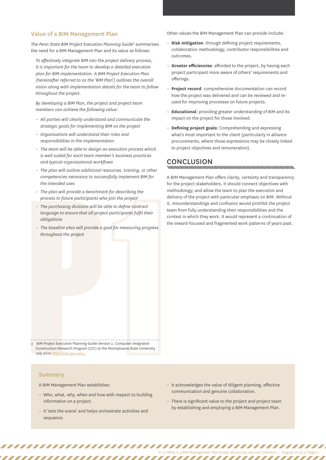#### **Value of a BIM Management Plan**

The *Penn State BIM Project Execution Planning Guide*<sup>3</sup> summarises the need for a BIM Management Plan and its value as follows:

*To effectively integrate BIM into the project delivery process, it is important for the team to develop a detailed execution plan for BIM implementation. A BIM Project Execution Plan (hereinafter referred to as the 'BIM Plan') outlines the overall vision along with implementation details for the team to follow throughout the project.* 

*By developing a BIM Plan, the project and project team members can achieve the following value:*

- *All parties will clearly understand and communicate the strategic goals for implementing BIM on the project*
- *Organisations will understand their roles and responsibilities in the implementation*
- *The team will be able to design an execution process which is well suited for each team member's business practices and typical organisational workflows*
- *The plan will outline additional resources, training, or other competencies necessary to successfully implement BIM for the intended uses*
- *The plan will provide a benchmark for describing the process to future participants who join the project*
- The purchasing divisions will be a<br>language to ensure that all project<br>obligations<br>- The baseline plan will provide a g<br>throughout the project<br>throughout the project<br>of throughout the project<br>3 BIM [P](http://bim.psu.edu/)roject Execution Plan – *The purchasing divisions will be able to define contract language to ensure that all project participants fulfil their obligations*
	- *The baseline plan will provide a goal for measuring progress throughout the project*

Other values the BIM Management Plan can provide include:

- **Risk mitigation**: through defining project requirements, collaboration methodology, contributor responsibilities and outcomes.
- **Greater efficiencies**: afforded to the project, by having each project participant more aware of others' requirements and offerings.
- **Project record**: comprehensive documentation can record how the project was delivered and can be reviewed and reused for improving processes on future projects.
- **Educational**: providing greater understanding of BIM and its impact on the project for those involved.
- **Defining project goals**: Comprehending and expressing what's most important to the client (particularly in alliance procurements, where those expressions may be closely linked to project objectives and remuneration).

## CONCLUSION<br>www.manumumumumumumumumumumumum

A BIM Management Plan offers clarity, certainty and transparency for the project stakeholders. It should connect objectives with methodology, and allow the team to plan the execution and delivery of the project with particular emphasis on BIM. Without it, misunderstandings and confusion would prohibit the project team from fully understanding their responsibilities and the context in which they work. It would represent a continuation of the inward-focused and fragmented work patterns of years past.

3 BIM Project Execution Planning Guide Version 2, Computer Integrated Construction Research Program (CIC) at the Pennsylvania State University July 2010 http://bim.psu.edu/.

#### **Summary**

A BIM Management Plan establishes:

,,,,,,,,,,,,,,,,,,

- Who, what, why, when and how with respect to building information on a project.
- It 'sets the scene' and helps orchestrate activities and sequence.
- It acknowledges the value of diligent planning, effective communication and genuine collaboration.
- There is significant value to the project and project team by establishing and employing a BIM Management Plan.

77777777777777777

P1 // What is a BIM Management Plan & why should we use one? [Version 1 – August 2012] // Page 5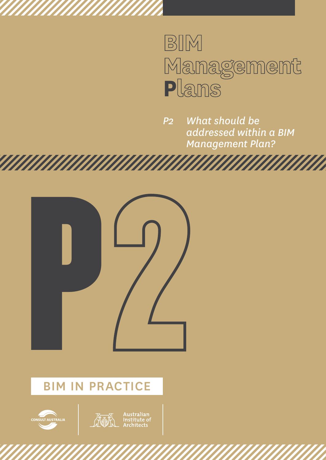# BIM Management<br>Plans

*P2 What should be addressed within a BIM Management Plan?*





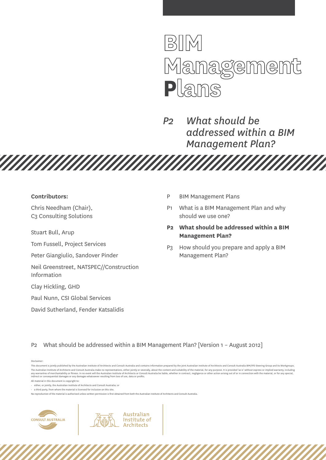

*P2 What should be addressed within a BIM Management Plan?*

**HAHA** 

#### **Contributors:**

Chris Needham (Chair), C3 Consulting Solutions

Stuart Bull, Arup

Tom Fussell, Project Services

Peter Giangiulio, Sandover Pinder

Neil Greenstreet, NATSPEC//Construction Information

*MAHAHAHAHAHAHAHA* 

Clay Hickling, GHD

Paul Nunn, CSI Global Services

David Sutherland, Fender Katsalidis

- P BIM Management Plans
- P1 What is a BIM Management Plan and why should we use one?
- **P2 What should be addressed within a BIM Management Plan?**
- P3 How should you prepare and apply a BIM Management Plan?

P2 What should be addressed within a BIM Management Plan? [Version 1 – August 2012]

Australian

Institute of **Architects** 

Disclaimer:

No reproduction of the material is authorised unless written permission is first obtained from both the Australian Institute of Architects and Consult Australia.



This document is jointly published by the Australian Institute of Architects and Consult Australia and contains information prepared by the joint Australian Institute of Architects and Consult Australia BIM/IPD Steering Gr The Australian Institute of Architects and Consult Australia make no representations, either jointly or severally, about the content and suitability of the material, for any purpose, It is provided 'as is' without express any warranties of merchantability or fitness. In no event will the Australian Institute of Architects or Consult Australia be liable, whether in contract, negligence or other action arising out of or in connection with the

All material in this document is copyright to:

<sup>•</sup> either, or jointly, the Australian Institute of Architects and Consult Australia; or

 $\cdot$  a third party, from whom the material is licensed for inclusion on this site.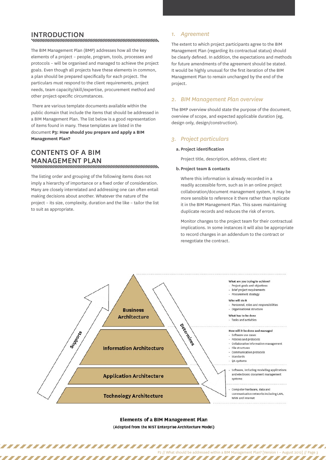## INTRODUCTION<br>www.www.www.www.www.www.www.www.ww

The BIM Management Plan (BMP) addresses how all the key elements of a project – people, program, tools, processes and protocols – will be organised and managed to achieve the project goals. Even though all projects have these elements in common, a plan should be prepared specifically for each project. The particulars must respond to the client requirements, project needs, team capacity/skill/expertise, procurement method and other project-specific circumstances.

 There are various template documents available within the public domain that include the items that should be addressed in a BIM Management Plan. The list below is a good representation of items found in many. These templates are listed in the document **P3: How should you prepare and apply a BIM Management Plan?**

## Contents of a BIM Management Plan

The listing order and grouping of the following items does not imply a hierarchy of importance or a fixed order of consideration. Many are closely interrelated and addressing one can often entail making decisions about another. Whatever the nature of the project – its size, complexity, duration and the like – tailor the list to suit as appropriate.

77777777777777777777777

### *1. Agreement*

The extent to which project participants agree to the BIM Management Plan (regarding its contractual status) should be clearly defined. In addition, the expectations and methods for future amendments of the agreement should be stated. It would be highly unusual for the first iteration of the BIM Management Plan to remain unchanged by the end of the project.

#### *2. BIM Management Plan overview*

The BMP overview should state the purpose of the document, overview of scope, and expected applicable duration (eg, design only, design/construction).

#### *3. Project particulars*

#### **a. Project identification**

Project title, description, address, client etc

#### **b.Project team & contacts**

Where this information is already recorded in a readily accessible form, such as in an online project collaboration/document management system, it may be more sensible to reference it there rather than replicate it in the BIM Management Plan. This saves maintaining duplicate records and reduces the risk of errors.

Monitor changes to the project team for their contractual implications. In some instances it will also be appropriate to record changes in an addendum to the contract or renegotiate the contract.

P2 // What should be addressed within a BIM Management Plan? [Version 1 – August 2012] // Page 3

,,,,,,,,,,,,,,,



#### **Elements of a BIM Management Plan** (Adopted from the NIST Enterprise Architecture Model)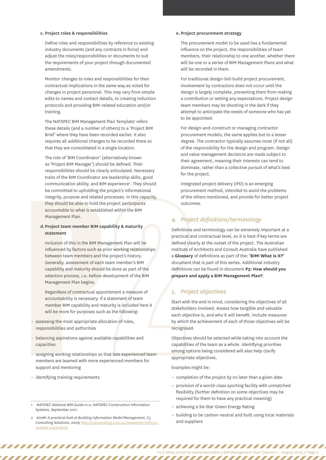#### **c. Project roles & responsibilities**

Define roles and responsibilities by reference to existing industry documents (and any contracts in force) and adjust the roles/responsibilities or documents to suit the requirements of your project through documented amendments.

Monitor changes to roles and responsibilities for their contractual implications in the same way as noted for changes in project personnel. This may vary from simple edits to names and contact details, to creating induction protocols and providing BIM-related education and/or training.

The NATSPEC BIM Management Plan Template<sup>1</sup> refers these details (and a number of others) to a 'Project BIM Brief' where they have been recorded earlier. It also requires all additional changes to be recorded there so that they are consolidated in a single location.

The role of 'BIM Coordinator' (alternatively known as 'Project BIM Manager') should be defined. Their responsibilities should be clearly articulated. Necessary traits of the BIM Coordinator are leadership skills, good communication ability, and BIM experience<sup>2</sup>. They should be committed to upholding the project's informational integrity, purpose and related processes. In this capacity, they should be able to hold the project participants accountable to what is established within the BIM Management Plan.

#### **d.Project team member BIM capability & maturity statement**

they should be able to hold the<br>accountable to what is establis<br>Management Plan.<br>**d. Project team member BIM catement**<br>Inclusion of this in the BIM Man<br>influenced by factors such as p<br>between team members and th<br>Generally, Inclusion of this in the BIM Management Plan will be influenced by factors such as prior working relationships between team members and the project's history. Generally, assessment of each team member's BIM capability and maturity should be done as part of the selection process, i.e. before development of the BIM Management Plan begins.

Regardless of contractual appointment a measure of accountability is necessary. If a statement of team member BIM capability and maturity is included here it will be more for purposes such as the following:

- assessing the most appropriate allocation of roles, responsibilities and authorities
- balancing aspirations against available capabilities and capacities
- assigning working relationships so that less experienced team members are teamed with more experienced members for support and mentoring
- identifying training requirements

#### 1 *NATSPEC National BIM Guide v1.0*, NATSPEC Construction Information Systems, September 2011.

2 *bimM: A practical look at Building Information Model Management*, C3 Consulting Solutions, 2009 http://c3consulting.com [october-2009.html](http://c3consulting.com.au/newsletter/infocus-october-2009.html).

,,,,,,,,,,,,,,,,,,,,,,,,,,,,

#### **e. Project procurement strategy**

The procurement model to be used has a fundamental influence on the project, the responsibilities of team members, their relationship to one another, whether there will be one or a series of BIM Management Plans and what will be recorded in them.

For traditional design-bid-build project procurement, involvement by contractors does not occur until the design is largely complete, preventing them from making a contribution or setting any expectations. Project design team members may be shooting in the dark if they attempt to anticipate the needs of someone who has yet to be appointed.

For design-and-construct or managing contractor procurement models, the same applies but to a lesser degree. The contractor typically assumes most (if not all) of the responsibility for the design and program. Design and value management decisions are made subject to their agreement, meaning their interests can tend to dominate, rather than a collective pursuit of what's best for the project.

Integrated project delivery (IPD) is an emerging procurement method, intended to avoid the problems of the others mentioned, and provide for better project outcomes.

## *4. Project definitions/terminology*

Definitions and terminology can be extremely important at a practical and contractual level, so it is best if key terms are defined clearly at the outset of the project. The Australian Institute of Architects and Consult Australia have published a **Glossary** of definitions as part of the: **'BIM! What is it?'**  document that is part of this series. Additional industry definitions can be found in document **P3: How should you prepare and apply a BIM Management Plan?**.

#### *5. Project objectives*

Start with the end in mind, considering the objectives of all stakeholders involved. Assess how tangible and valuable each objective is, and who it will benefit. Include measures by which the achievement of each of those objectives will be recognised.

Objectives should be selected while taking into account the capabilities of the team as a whole. Identifying priorities among options being considered will also help clarify appropriate objectives.

Examples might be:

- completion of the project by no later than a given date
- provision of a world-class sporting facility with unmatched flexibility (further definition on some objectives may be required for them to have any practical meaning)
- achieving a Six-Star Green Energy Rating
- building to be carbon-neutral and built using local materials and suppliers

P2 // What should be addressed within a BIM Management Plan? [Version 1 – August 2012] // Page 4

,,,,,,,,,,,,,,,,,,,,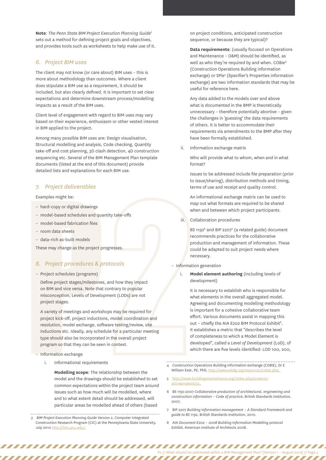**Note**: *The Penn State BIM Project Execution Planning Guide*<sup>3</sup> sets out a method for defining project goals and objectives, and provides tools such as worksheets to help make use of it.

#### *6. Project BIM uses*

The client may not know (or care about) BIM uses – this is more about methodology than outcomes. Where a client does stipulate a BIM use as a requirement, it should be included, but also clearly defined. It is important to set clear expectations and determine downstream process/modelling impacts as a result of the BIM uses.

Client level of engagement with regard to BIM uses may vary based on their experience, enthusiasm or other vested interest in BIM applied to the project.

Among many possible BIM uses are: Design visualisation, Structural modelling and analysis, Code checking, Quantity take-off and cost planning, 3D clash detection, 4D construction sequencing etc. Several of the BIM Management Plan template documents (listed at the end of this document) provide detailed lists and explanations for each BIM use.

#### *7. Project deliverables*

Examples might be:

- hard-copy or digital drawings
- model-based schedules and quantity take-offs
- model-based fabrication files
- room data sheets
- data-rich as-built models

These may change as the project progresses.

#### *8. Project procedures & protocols*

– Project schedules (programs)

Define project stages/milestones, and how they impact on BIM and vice versa. Note that contrary to popular misconception, Levels of Development (LODs) are not project stages.

- hard-copy or digital drawings<br>
- model-based schedules and quar<br>
- model-based fabrication files<br>
- room data sheets<br>
- data-rich as-built models<br>
These may change as the project pro<br>
8. Project procedures & pr<br>
- Projec A variety of meetings and workshops may be required for project kick-off, project inductions, model coordination and resolution, model exchange, software testing/review, site inductions etc. Ideally, any schedule for a particular meeting type should also be incorporated in the overall project program so that they can be seen in context.

#### – Information exchange

i. Informational requirements

,,,,,,,,,,,,,,,,,,,,,,,,,,,,

**Modelling scope**: The relationship between the model and the drawings should be established to set common expectations within the project team around issues such as how much will be modelled, where and to what extent detail should be addressed, will particular areas be modelled ahead of others (based

3 *BIM Project Execution Planning Guide Version 2*, Computer Integrated Construction Research Program (CIC) at the Pennsylvania State University, July 2010<http://bim.psu.edu/>.

on project conditions, anticipated construction sequence, or because they are typical)?

**Data requirements**: (usually focused on Operations and Maintenance – O&M) should be identified, as well as who they're required by and when. COBie<sup>4</sup> (Construction Operations Building information exchange) or SPie<sup>5</sup> (Specifier's Properties information exchange) are two information standards that may be useful for reference here.

Any data added to the models over and above what is documented in the BMP is theoretically unnecessary – therefore potentially abortive – given the challenges in 'guessing' the data requirements of others. It is better to accommodate their requirements via amendments to the BMP after they have been formally established.

ii. Information exchange matrix

Who will provide what to whom, when and in what format?

Issues to be addressed include file preparation (prior to issue/sharing), distribution methods and timing, terms of use and receipt and quality control.

An informational exchange matrix can be used to map out what formats are required to be shared when and between which project participants.

iii. Collaboration procedures

BS 1192<sup>6</sup> and BIP 2207<sup>7</sup> (a related guide) document recommends practices for the collaborative production and management of information. These could be adapted to suit project needs where necessary.

#### – Information generation

i. **Model element authoring** (including levels of development)

It is necessary to establish who is responsible for what elements in the overall aggregated model. Agreeing and documenting modelling methodology is important for a cohesive collaborative team effort. Various documents assist in mapping this out - chiefly the AIA E202 BIM Protocol Exhibit<sup>8</sup>. It establishes a metric that "describes the level of completeness to which a Model Element is developed", called a *Level of Development* (LoD), of which there are five levels identified: LOD 100, 200,

- 4 Construction Operations Building information exchange (COBIE), Dr E
- William East, PE, PhD, http://www.wbdg.org/resourc
- 5 [http://www.buildingsmartalliance.org/index.php/projects/](http://www.buildingsmartalliance.org/index.php/projects/activeprojects/32) [activeprojects/32.](http://www.buildingsmartalliance.org/index.php/projects/activeprojects/32)
- 6 BS 1192:2007 *Collaborative production of architectural, engineering and construction information – Code of practice*, British Standards Institution, 2007.
- 7 BIP 2207 *Building Information management A Standard Framework and guide to BS 1192*, British Standards Institution, 2010.

P2 // What should be addressed within a BIM Management Plan? [Version 1 – August 2012] // Page 5

8 *AIA Document E202 – 2008 Building Information Modelling protocol Exhibit*, American Institute of Architects 2008.

7777777777777777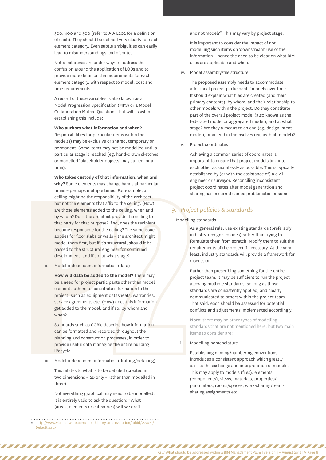300, 400 and 500 (refer to AIA E202 for a definition of each). They should be defined very clearly for each element category. Even subtle ambiguities can easily lead to misunderstandings and disputes.

Note: Initiatives are under way<sup>9</sup> to address the confusion around the application of LODs and to provide more detail on the requirements for each element category, with respect to model, cost and time requirements.

A record of these variables is also known as a Model Progression Specification (MPS) or a Model Collaboration Matrix. Questions that will assist in establishing this include:

**Who authors what information and when?**  Responsibilities for particular items within the model(s) may be exclusive or shared, temporary or permanent. Some items may not be modelled until a particular stage is reached (eg, hand-drawn sketches or modelled 'placeholder objects' may suffice for a time).

but not the elements that<br>are those elements added<br>by whom? Does the archite<br>that party for that purpose<br>become responsible for th<br>applies for floor slabs or w<br>model them first, but if it's<br>passed to the structural er<br>deve **Who takes custody of that information, when and why?** Some elements may change hands at particular times – perhaps multiple times. For example, a ceiling might be the responsibility of the architect, but not the elements that affix to the ceiling. (How) are those elements added to the ceiling, when and by whom? Does the architect provide the ceiling to that party for that purpose? If so, does the recipient become responsible for the ceiling? The same issue applies for floor slabs or walls – the architect might model them first, but if it's structural, should it be passed to the structural engineer for continued development, and if so, at what stage?

ii. Model-independent information (data)

**How will data be added to the model?** There may be a need for project participants other than model element authors to contribute information to the project, such as equipment datasheets, warranties, service agreements etc. (How) does this information get added to the model, and if so, by whom and when?

Standards such as COBie describe how information can be formatted and recorded throughout the planning and construction processes, in order to provide useful data managing the entire building lifecycle.

iii. Model-independent information (drafting/detailing)

This relates to what is to be detailed (created in two dimensions – 2D only – rather than modelled in three).

Not everything graphical may need to be modelled. It is entirely valid to ask the question: "What (areas, elements or categories) will we draft

9 [http://www.vicosoftware.com/mps-history-and-evolution/tabid/297475/](http://www.vicosoftware.com/mps-history-and-evolution/tabid/297475/Default.aspx) [Default.aspx.](http://www.vicosoftware.com/mps-history-and-evolution/tabid/297475/Default.aspx)

,,,,,,,,,,,,,,,,,,,,,,,,,,,

and not model?". This may vary by project stage.

It is important to consider the impact of not modelling such items on 'downstream' use of the information – hence the need to be clear on what BIM uses are applicable and when.

iv. Model assembly/file structure

The proposed assembly needs to accommodate additional project participants' models over time. It should explain what files are created (and their primary contents), by whom, and their relationship to other models within the project. Do they constitute part of the overall project model (also known as the federated model or aggregated model), and at what stage? Are they a means to an end (eg, design intent model), or an end in themselves (eg, as-built model)?

v. Project coordinates

Achieving a common series of coordinates is important to ensure that project models link into each other as seamlessly as possible. This is typically established by (or with the assistance of) a civil engineer or surveyor. Reconciling inconsistent project coordinates after model generation and sharing has occurred can be problematic for some.

#### *9. Project policies & standards*

– Modelling standards

As a general rule, use existing standards (preferably industry-recognised ones) rather than trying to formulate them from scratch. Modify them to suit the requirements of the project if necessary. At the very least, industry standards will provide a framework for discussion.

Rather than prescribing something for the entire project team, it may be sufficient to run the project allowing multiple standards, so long as those standards are consistently applied, and clearly communicated to others within the project team. That said, each should be assessed for potential conflicts and adjustments implemented accordingly.

**Note**: there may be other types of modelling standards that are not mentioned here, but two main items to consider are:

i. Modelling nomenclature

Establishing naming/numbering conventions introduces a consistent approach which greatly assists the exchange and interpretation of models. This may apply to models (files), elements (components), views, materials, properties/ parameters, rooms/spaces, work-sharing/teamsharing assignments etc.

P2 // What should be addressed within a BIM Management Plan? [Version 1 – August 2012] // Page 6

,,,,,,,,,,,,,,,,,,,,,,,,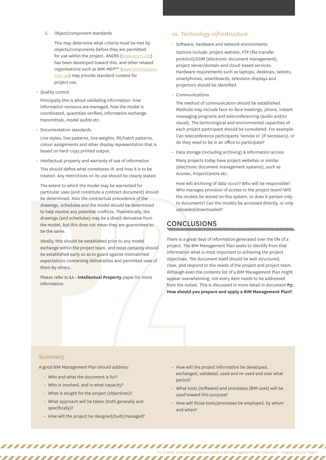#### ii. Object/component standards

This may determine what criteria must be met by objects/components before they are permitted for use within the project. ANZRS [\(www.anzrs.org](http://www.anzrs.org)) has been developed toward this, and other related organisations such as BIM-MEPAUS [\(www.bimmepaus.](http://www.bimmepaus.com.au) [com.au](http://www.bimmepaus.com.au)) may provide standard content for project use.

– Quality control

Principally this is about validating information: how information revisions are managed, how the model is coordinated, quantities verified, information exchange transmittals, model audits etc.

– Documentation standards

Line styles, line patterns, line weights, fill/hatch patterns, colour assignments and other display representation that is based on hard-copy printed output.

– Intellectual property and warranty of use of information This should define what constitutes IP, and how it is to be treated. Any restrictions on its use should be clearly stated.

drawings, schedules and the mod<br>to help resolve any potential conf<br>drawings (and schedules) may be<br>the model, but this does not mea<br>be the same.<br>Ideally, this should be established<br>exchange within the project team<br>be estab The extent to which the model may be warranted for particular uses (and constitute a contract document) should be determined. Also the contractual precedence of the drawings, schedules and the model should be determined to help resolve any potential conflicts. Theoretically, the drawings (and schedules) may be a direct derivative from the model, but this does not mean they are *guaranteed* to be the same.

Ideally, this should be established prior to any model exchange within the project team, and most certainly should be established early so as to guard against mismatched expectations concerning deliverables and permitted uses of them by others.

Please refer to **L1 - Intellectual Property** paper for more information.

#### *10. Technology infrastructure*

– Software, hardware and network environments

Options include: project website, FTP (file transfer protocol)/EDM (electronic document management), project server/domain and cloud-based services. Hardware requirements such as laptops, desktops, tablets, smartphones, smartboards, television displays and projectors should be identified.

– Communications

The method of communication should be established. Methods may include face-to-face meetings, phone, instant messaging programs and teleconferencing (audio and/or visual). The technological and environmental capacities of each project participant should be considered. For example: Can teleconference participants 'remote in' (if necessary), or do they need to be in an office to participate?

– Data storage (including archiving) & information access

Many projects today have project websites or similar (electronic document management systems), such as Aconex, ProjectCentre etc.

How will archiving of data occur? Who will be responsible? Who manages provision of access to the project team? Will the models be stored on this system, or does it pertain only to documents? Can the models be accessed directly, or only uploaded/downloaded?

## CONCLUSIONS<br>www.manumumumumumumumumumumumumum

There is a great deal of information generated over the life of a project. The BIM Management Plan seeks to identify from that information what is most important to achieving the project objectives. The document itself should be well structured, clear, and respond to the needs of the project and project team. Although even the contents list of a BIM Management Plan might appear overwhelming, not every item needs to be addressed from the outset. This is discussed in more detail in document **P3: How should you prepare and apply a BIM Management Plan?**.

#### **Summary**

A good BIM Management Plan should address:

– Who and what the document is for?

,,,,,,,,,,,,,,,,,,,,,,,,,,,

- Who is involved, and in what capacity?
- What is sought for the project (objectives)?
- What approach will be taken (both generally and specifically)?
- How will the project be designed/built/managed?
- How will the project information be developed, exchanged, validated, used and re-used and over what period?
- What tools (software) and processes (BIM uses) will be used toward this purpose?
- How will those tools/processes be employed, by whom and when?

,,,,,,,,,,,,,,,,,,

P2 // What should be addressed within a BIM Management Plan? [Version 1 – August 2012] // Page 7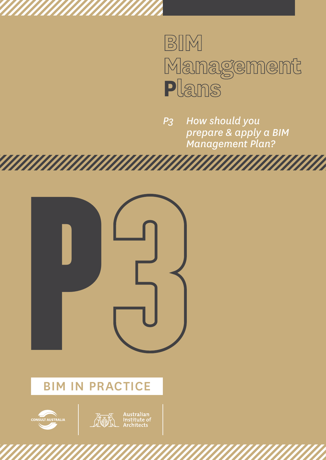# BIM Management<br>Plans

*P3 How should you prepare & apply a BIM Management Plan?*





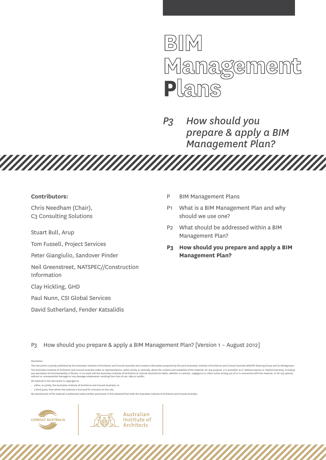

*P3 How should you prepare & apply a BIM Management Plan?*

a Maria

#### **Contributors:**

Chris Needham (Chair), C3 Consulting Solutions

Stuart Bull, Arup

Tom Fussell, Project Services

Peter Giangiulio, Sandover Pinder

Neil Greenstreet, NATSPEC//Construction Information

**TARTA MARTIN MARTIN MARTIN** 

Clay Hickling, GHD

Paul Nunn, CSI Global Services

David Sutherland, Fender Katsalidis

- P BIM Management Plans
- P1 What is a BIM Management Plan and why should we use one?
- P2 What should be addressed within a BIM Management Plan?
- **P3 How should you prepare and apply a BIM Management Plan?**

P3 How should you prepare & apply a BIM Management Plan? [Version 1 – August 2012]

Australian

Institute of **Architects** 

Disclaimer:

No reproduction of the material is authorised unless written permission is first obtained from both the Australian Institute of Architects and Consult Australia.



This document is jointly published by the Australian Institute of Architects and Consult Australia and contains information prepared by the joint Australian Institute of Architects and Consult Australia BIM/IPD Steering Gr The Australian Institute of Architects and Consult Australia make no representations, either iointly or severally, about the content and suitability of the material, for any purpose, It is provided 'as is' without express any warranties of merchantability or fitness. In no event will the Australian Institute of Architects or Consult Australia be liable, whether in contract, negligence or other action arising out of or in connection with the

All material in this document is copyright to:

<sup>•</sup> either, or jointly, the Australian Institute of Architects and Consult Australia; or

 $\cdot$  a third party, from whom the material is licensed for inclusion on this site.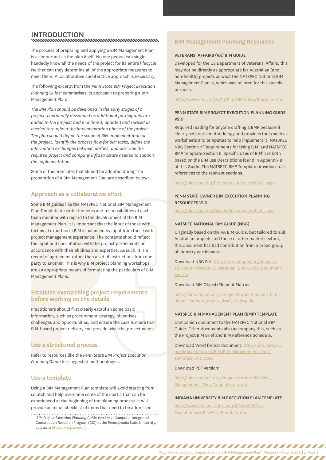## **INTRODUCTION**<br>www.www.www.www.www.www.www.www.www.

The process of preparing and applying a BIM Management Plan is as important as the plan itself. No one person can singlehandedly know all the needs of the project for its entire lifecycle. Neither can they determine all of the appropriate measures to meet them. A collaborative and iterative approach is necessary.

The following excerpt from the *Penn State BIM Project Execution*  Planning Guide<sup>1</sup> summarises its approach to preparing a BIM Management Plan:

*The BIM Plan should be developed in the early stages of a project; continually developed as additional participants are added to the project; and monitored, updated and revised as needed throughout the implementation phase of the project. The plan should define the scope of BIM implementation on the project, identify the process flow for BIM tasks, define the information exchanges between parties, and describe the required project and company infrastructure needed to support the implementation.*

Some of the principles that should be adopted during the preparation of a BIM Management Plan are described below:

### **Approach as a collaborative effort**

Some BIM guides like the NATSPEC Nat<br>Plan Template describe the roles and r<br>team member with regard to the devel<br>Management Plan. It is important that<br>technical expertise in BIM is balanced<br>project management experience. T Some BIM guides like the NATSPEC National BIM Management Plan Template describe the roles and responsibilities of each team member with regard to the development of the BIM Management Plan. It is important that the input of those with technical expertise in BIM is balanced by input from those with project management experience. The contents should reflect the input and consultation with the project participants, in accordance with their abilities and expertise. As such, it is a record of agreement rather than a set of instructions from one party to another. This is why BIM project planning workshops are an appropriate means of formulating the particulars of BIM Management Plans.

#### **Establish overarching project requirements before working on the details**

Practitioners should first clearly establish some basic information, such as procurement strategy, objectives, challenges and opportunities, and ensure the case is made that BIM-based project delivery can provide what the project needs.

#### **Use a structured process**

Refer to resources like the *Penn State BIM Project Execution Planning Guide* for suggested methodologies.

#### **Use a template**

Using a BIM Management Plan template will avoid starting from scratch and help overcome some of the inertia that can be experienced at the beginning of the planning process. It will provide an initial checklist of items that need to be addressed

#### 1 *BIM Project Execution Planning Guide Version 2*, Computer Integrated Construction Research Program (CIC) at the Pennsylvania State University, July 2010<http://bim.psu.edu/>.

,,,,,,,,,,,,,,,,,,,,,,,,,,,

#### **BIM Management Planning Resources**

#### Veterans' Affairs (VA) BIM Guide

Developed for the US Department of Veterans' Affairs, this may not be directly as appropriate for Australian (and non-health) projects as what the NATSPEC National BIM Management Plan is, which was tailored for this specific purpose.

#### <http://www.cfm.va.gov/til/bim/BIMGuide/lifecycle.htm>

#### Penn State BIM Project Execution Planning Guide v2.0

Required reading for anyone drafting a BMP because it clearly sets out a methodology and provides tools such as worksheets and templates to help implement it. NATSPEC NBG Section 7 'Requirements for Using BIM' and NATSPEC BMP Template Section 6 'Specific Uses of BIM' are both based on the BIM use Descriptions found in Appendix B of this Guide. The NATSPEC BMP Template provides cross references to the relevant sections.

<http://bim.psu.edu/Project/resources/default.aspx>

#### PENN STATE OWNER BIM EXECUTION PLANNING Resources v1.0

<http://bim.psu.edu/Owner/Resources/default.aspx>

#### NATSPEC National BIM Guide (NBG)

Originally based on the VA BIM Guide, but tailored to suit Australian projects and those of other market sectors, this document has had contribution from a broad group of industry participants.

Download NBG Set: [http://bim.natspec.org/images/](http://bim.natspec.org/images/stories/BIM/NATSPEC_National_BIM_Guide_Document_Set.zip) [stories/BIM/NATSPEC\\_National\\_BIM\\_Guide\\_Document\\_](http://bim.natspec.org/images/stories/BIM/NATSPEC_National_BIM_Guide_Document_Set.zip) [Set.zip](http://bim.natspec.org/images/stories/BIM/NATSPEC_National_BIM_Guide_Document_Set.zip)

#### Download BIM Object/Element Matrix:

[http://bim.natspec.org/images/stories/natspec\\_bim\\_](http://bim.natspec.org/images/stories/natspec_bim_object-element_matrix_draft_110809.zip) [object-element\\_matrix\\_draft\\_110809.zip](http://bim.natspec.org/images/stories/natspec_bim_object-element_matrix_draft_110809.zip)

#### NATSPEC BIM Management Plan (BMP) template

Companion document to the NATSPEC National BIM Guide. Other documents also accompany this, such as the Project BIM Brief and BIM Reference Schedule.

Download Word format document: [http://bim.natspec.](http://bim.natspec.org/images/stories/BIM/BIM_Management_Plan_Template_v1.0.docx) [org/images/stories/BIM/BIM\\_Management\\_Plan\\_](http://bim.natspec.org/images/stories/BIM/BIM_Management_Plan_Template_v1.0.docx) [Template\\_v1.0.docx](http://bim.natspec.org/images/stories/BIM/BIM_Management_Plan_Template_v1.0.docx)

#### Download PDF version:

[http://bim.natspec.org/images/stories/BIM/BIM\\_](http://bim.natspec.org/images/stories/BIM/BIM_Management_Plan_Template_v1.0.pdf) [Management\\_Plan\\_Template\\_v1.0.pdf](http://bim.natspec.org/images/stories/BIM/BIM_Management_Plan_Template_v1.0.pdf)

#### Indiana University BIM Execution Plan Template

P3 // How should you prepare & apply a BIM Management Plan? [Version 1 – August 2012] // Page 3

,,,,,,,,,,,,,,,,,,,,,,,,,,,,

[http://www.indiana.edu/~uao/IU%20BIM%20](http://www.indiana.edu/~uao/IU%20BIM%20Execution%20Plan%20Template.doc) [Execution%20Plan%20Template.doc](http://www.indiana.edu/~uao/IU%20BIM%20Execution%20Plan%20Template.doc)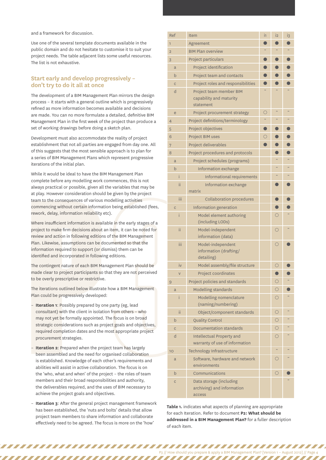and a framework for discussion.

Use one of the several template documents available in the public domain and do not hesitate to customise it to suit your project needs. The table adjacent lists some useful resources. The list is not exhaustive.

### **Start early and develop progressively – don't try to do it all at once**

The development of a BIM Management Plan mirrors the design process – it starts with a general outline which is progressively refined as more information becomes available and decisions are made. You can no more formulate a detailed, definitive BIM Management Plan in the first week of the project than produce a set of working drawings before doing a sketch plan.

Development must also accommodate the reality of project establishment that not all parties are engaged from day one. All of this suggests that the most sensible approach is to plan for a series of BIM Management Plans which represent progressive iterations of the initial plan.

While it would be ideal to have the BIM Management Plan complete before any modelling work commences, this is not always practical or possible, given all the variables that may be at play. However consideration should be given by the project team to the consequences of various modelling activities commencing without certain information being established (fees, rework, delay, information reliability etc).

Where insufficient information is available in the early stages of a project to make firm decisions about an item, it can be noted for review and action in following editions of the BIM Management Plan. Likewise, assumptions can be documented so that the information required to support (or dismiss) them can be identified and incorporated in following editions.

The contingent nature of each BIM Management Plan should be made clear to project participants so that they are not perceived to be overly prescriptive or restrictive.

The iterations outlined below illustrate how a BIM Management Plan could be progressively developed:

- **Iteration 1:** Possibly prepared by one party (eg, lead consultant) with the client in isolation from others – who may not yet be formally appointed. The focus is on broad strategic considerations such as project goals and objectives, required completion dates and the most appropriate project procurement strategies.
- cann to the consequences or valid commencing without certain information reliability e<br>
Where insufficient information is availad project to make firm decisions about a<br>
review and action in following editions<br>
Plan. Likew **Iteration 2:** Prepared when the project team has largely been assembled and the need for organised collaboration is established. Knowledge of each other's requirements and abilities will assist in active collaboration. The focus is on the 'who, what and when' of the project – the roles of team members and their broad responsibilities and authority, the deliverables required, and the uses of BIM necessary to achieve the project goals and objectives.
	- **Iteration 3**: After the general project management framework has been established, the 'nuts and bolts' details that allow project team members to share information and collaborate effectively need to be agreed. The focus is more on the 'how'

,,,,,,,,,,,,,,,,,,,,,,

| Ref            | Item                                                               | i1         | i <sub>2</sub> | $i_{3}$ |
|----------------|--------------------------------------------------------------------|------------|----------------|---------|
| $\mathbf{1}$   | Agreement                                                          | ۸          |                |         |
| $\overline{2}$ | <b>BIM Plan overview</b>                                           |            |                |         |
| 3              | Project particulars                                                | O          |                |         |
| $\mathsf{a}$   | Project identification                                             |            |                |         |
| $\mathsf b$    | Project team and contacts                                          |            |                |         |
| $\overline{C}$ | Project roles and responsibilities                                 |            |                |         |
| d              | Project team member BIM<br>capability and maturity<br>statement    |            |                |         |
| e              | Project procurement strategy                                       | $\bigcirc$ | $\sim$         |         |
| $\overline{4}$ | Project definitions/terminology                                    |            |                |         |
| 5              | Project objectives                                                 | $\bullet$  |                |         |
| 6              | Project BIM uses                                                   | О          |                |         |
| 7              | Project deliverables                                               |            |                |         |
| 8              | Project procedures and protocols                                   |            |                |         |
| a              | Project schedules (programs)                                       |            |                |         |
| $\mathsf b$    | Information exchange                                               |            |                |         |
| ì              | Informational requirements                                         |            |                |         |
| ii             | Information exchange<br>matrix                                     |            |                |         |
| ίii            | <b>Collaboration procedures</b>                                    |            |                |         |
| $\overline{C}$ | Information generation                                             |            |                |         |
| i              | Model element authoring<br>(including LODs)                        |            | O              |         |
| ii             | Model-independent<br>information (data)                            |            | Ω              |         |
| iii            | Model-independent<br>information (drafting/<br>detailing)          |            | ◯              |         |
| iv             | Model assembly/file structure                                      |            | О              |         |
| $\overline{V}$ | Project coordinates                                                |            |                |         |
| 9              | Project policies and standards                                     |            | О              | $\sim$  |
| a              | Modelling standards                                                |            | ◯              |         |
| i              | Modelling nomenclature<br>(naming/numbering)                       |            | Ω              |         |
| ii             | Object/component standards                                         |            | О              |         |
| $\mathsf b$    | <b>Quality Control</b>                                             |            | Ω              |         |
| $\overline{C}$ | Documentation standards                                            |            | ∩              |         |
| d              | <b>Intellectual Property and</b><br>warranty of use of information |            | ◯              |         |
| 10             | Technology Infrastructure                                          |            |                |         |
| a              | Software, hardware and network<br>environments                     |            |                |         |
| $\mathsf b$    | Communications                                                     |            | O              |         |
| $\mathsf{C}$   | Data storage (including<br>archiving) and information<br>access    |            |                |         |

**Table 1.** indicates what aspects of planning are appropriate for each Iteration. Refer to document **P2: What should be addressed in a BIM Management Plan?** for a fuller description of each item.

,,,,,,,,,,,,,,,

P3 // How should you prepare & apply a BIM Management Plan? [Version 1 – August 2012] // Page 4